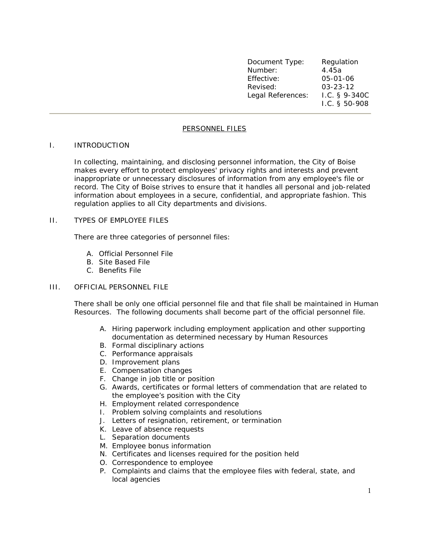| Document Type:    | Regulation         |
|-------------------|--------------------|
| Number:           | 4.45a              |
| Effective:        | 05-01-06           |
| Revised:          | $03 - 23 - 12$     |
| Legal References: | $1.C.$ § 9-340 $C$ |
|                   | I.C. $§$ 50-908    |

# PERSONNEL FILES

#### I. INTRODUCTION

In collecting, maintaining, and disclosing personnel information, the City of Boise makes every effort to protect employees' privacy rights and interests and prevent inappropriate or unnecessary disclosures of information from any employee's file or record. The City of Boise strives to ensure that it handles all personal and job-related information about employees in a secure, confidential, and appropriate fashion. This regulation applies to all City departments and divisions.

### II. TYPES OF EMPLOYEE FILES

There are three categories of personnel files:

- A. Official Personnel File
- B. Site Based File
- C. Benefits File

### III. OFFICIAL PERSONNEL FILE

There shall be only one official personnel file and that file shall be maintained in Human Resources. The following documents shall become part of the official personnel file.

- A. Hiring paperwork including employment application and other supporting documentation as determined necessary by Human Resources
- B. Formal disciplinary actions
- C. Performance appraisals
- D. Improvement plans
- E. Compensation changes
- F. Change in job title or position
- G. Awards, certificates or formal letters of commendation that are related to the employee's position with the City
- H. Employment related correspondence
- I. Problem solving complaints and resolutions
- J. Letters of resignation, retirement, or termination
- K. Leave of absence requests
- L. Separation documents
- M. Employee bonus information
- N. Certificates and licenses required for the position held
- O. Correspondence to employee
- P. Complaints and claims that the employee files with federal, state, and local agencies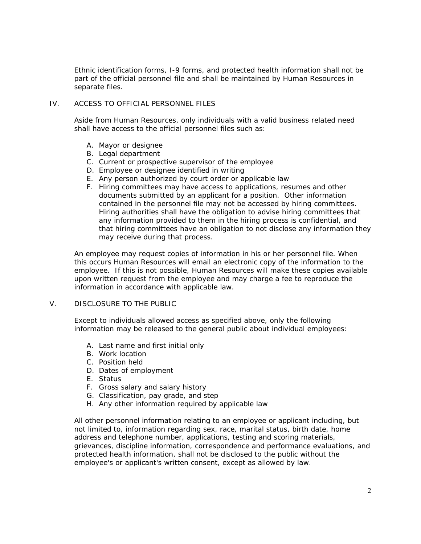Ethnic identification forms, I-9 forms, and protected health information shall not be part of the official personnel file and shall be maintained by Human Resources in separate files.

# IV. ACCESS TO OFFICIAL PERSONNEL FILES

Aside from Human Resources, only individuals with a valid business related need shall have access to the official personnel files such as:

- A. Mayor or designee
- B. Legal department
- C. Current or prospective supervisor of the employee
- D. Employee or designee identified in writing
- E. Any person authorized by court order or applicable law
- F. Hiring committees may have access to applications, resumes and other documents submitted by an applicant for a position. Other information contained in the personnel file may not be accessed by hiring committees. Hiring authorities shall have the obligation to advise hiring committees that any information provided to them in the hiring process is confidential, and that hiring committees have an obligation to not disclose any information they may receive during that process.

An employee may request copies of information in his or her personnel file. When this occurs Human Resources will email an electronic copy of the information to the employee. If this is not possible, Human Resources will make these copies available upon written request from the employee and may charge a fee to reproduce the information in accordance with applicable law.

# V. DISCLOSURE TO THE PUBLIC

Except to individuals allowed access as specified above, only the following information may be released to the general public about individual employees:

- A. Last name and first initial only
- B. Work location
- C. Position held
- D. Dates of employment
- E. Status
- F. Gross salary and salary history
- G. Classification, pay grade, and step
- H. Any other information required by applicable law

All other personnel information relating to an employee or applicant including, but not limited to, information regarding sex, race, marital status, birth date, home address and telephone number, applications, testing and scoring materials, grievances, discipline information, correspondence and performance evaluations, and protected health information, shall not be disclosed to the public without the employee's or applicant's written consent, except as allowed by law.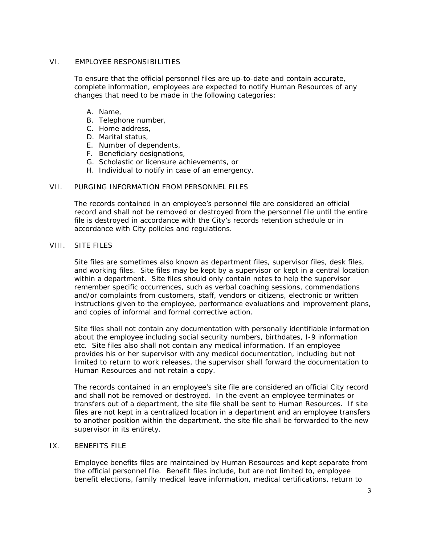### VI. EMPLOYEE RESPONSIBILITIES

To ensure that the official personnel files are up-to-date and contain accurate, complete information, employees are expected to notify Human Resources of any changes that need to be made in the following categories:

- A. Name,
- B. Telephone number,
- C. Home address,
- D. Marital status,
- E. Number of dependents,
- F. Beneficiary designations,
- G. Scholastic or licensure achievements, or
- H. Individual to notify in case of an emergency.

#### VII. PURGING INFORMATION FROM PERSONNEL FILES

The records contained in an employee's personnel file are considered an official record and shall not be removed or destroyed from the personnel file until the entire file is destroyed in accordance with the City's records retention schedule or in accordance with City policies and regulations.

### VIII. SITE FILES

Site files are sometimes also known as department files, supervisor files, desk files, and working files. Site files may be kept by a supervisor or kept in a central location within a department. Site files should only contain notes to help the supervisor remember specific occurrences, such as verbal coaching sessions, commendations and/or complaints from customers, staff, vendors or citizens, electronic or written instructions given to the employee, performance evaluations and improvement plans, and copies of informal and formal corrective action.

Site files shall not contain any documentation with personally identifiable information about the employee including social security numbers, birthdates, I-9 information etc. Site files also shall not contain any medical information. If an employee provides his or her supervisor with any medical documentation, including but not limited to return to work releases, the supervisor shall forward the documentation to Human Resources and not retain a copy.

The records contained in an employee's site file are considered an official City record and shall not be removed or destroyed. In the event an employee terminates or transfers out of a department, the site file shall be sent to Human Resources. If site files are not kept in a centralized location in a department and an employee transfers to another position within the department, the site file shall be forwarded to the new supervisor in its entirety.

# IX. BENEFITS FILE

Employee benefits files are maintained by Human Resources and kept separate from the official personnel file. Benefit files include, but are not limited to, employee benefit elections, family medical leave information, medical certifications, return to